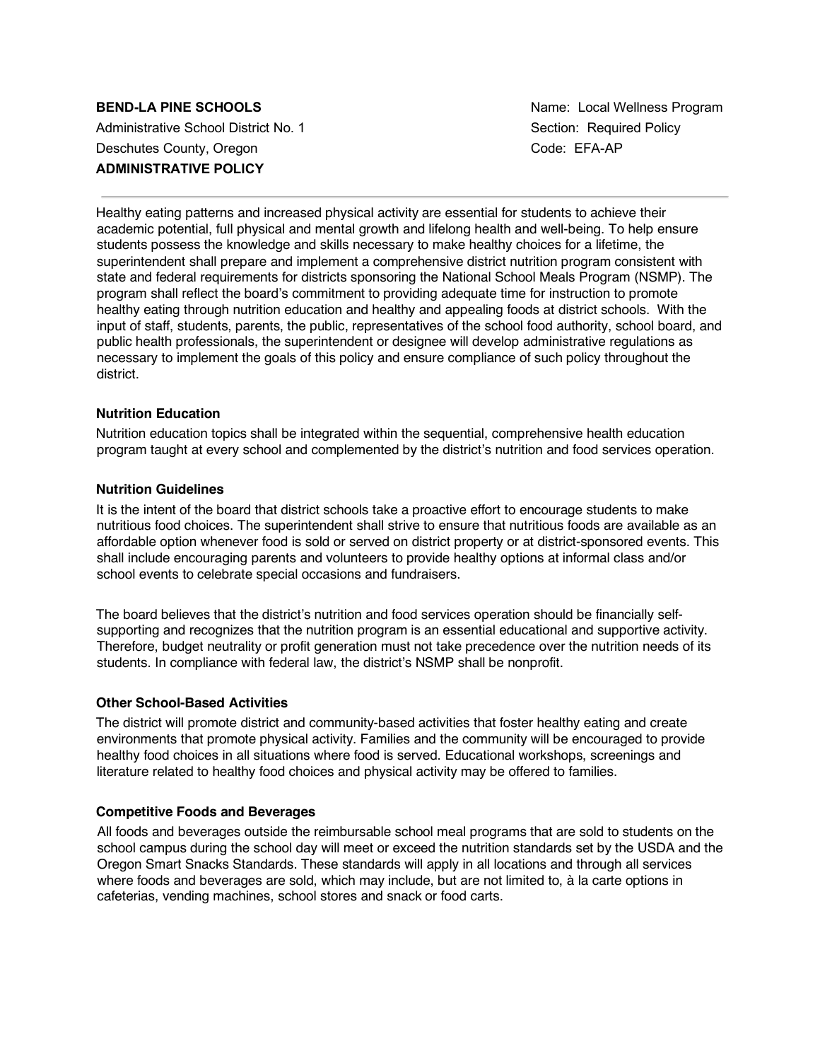# **BEND-LA PINE SCHOOLS Name:** Local Wellness Program Administrative School District No. 1 Section: Required Policy Deschutes County, Oregon Code: EFA-AP **ADMINISTRATIVE POLICY**

Healthy eating patterns and increased physical activity are essential for students to achieve their academic potential, full physical and mental growth and lifelong health and well-being. To help ensure students possess the knowledge and skills necessary to make healthy choices for a lifetime, the superintendent shall prepare and implement a comprehensive district nutrition program consistent with state and federal requirements for districts sponsoring the National School Meals Program (NSMP). The program shall reflect the board's commitment to providing adequate time for instruction to promote healthy eating through nutrition education and healthy and appealing foods at district schools. With the input of staff, students, parents, the public, representatives of the school food authority, school board, and public health professionals, the superintendent or designee will develop administrative regulations as necessary to implement the goals of this policy and ensure compliance of such policy throughout the district.

# **Nutrition Education**

Nutrition education topics shall be integrated within the sequential, comprehensive health education program taught at every school and complemented by the district's nutrition and food services operation.

## **Nutrition Guidelines**

It is the intent of the board that district schools take a proactive effort to encourage students to make nutritious food choices. The superintendent shall strive to ensure that nutritious foods are available as an affordable option whenever food is sold or served on district property or at district-sponsored events. This shall include encouraging parents and volunteers to provide healthy options at informal class and/or school events to celebrate special occasions and fundraisers.

The board believes that the district's nutrition and food services operation should be financially selfsupporting and recognizes that the nutrition program is an essential educational and supportive activity. Therefore, budget neutrality or profit generation must not take precedence over the nutrition needs of its students. In compliance with federal law, the district's NSMP shall be nonprofit.

## **Other School-Based Activities**

The district will promote district and community-based activities that foster healthy eating and create environments that promote physical activity. Families and the community will be encouraged to provide healthy food choices in all situations where food is served. Educational workshops, screenings and literature related to healthy food choices and physical activity may be offered to families.

## **Competitive Foods and Beverages**

All foods and beverages outside the reimbursable school meal programs that are sold to students on the school campus during the school day will meet or exceed the nutrition standards set by the USDA and the Oregon Smart Snacks Standards. These standards will apply in all locations and through all services where foods and beverages are sold, which may include, but are not limited to, à la carte options in cafeterias, vending machines, school stores and snack or food carts.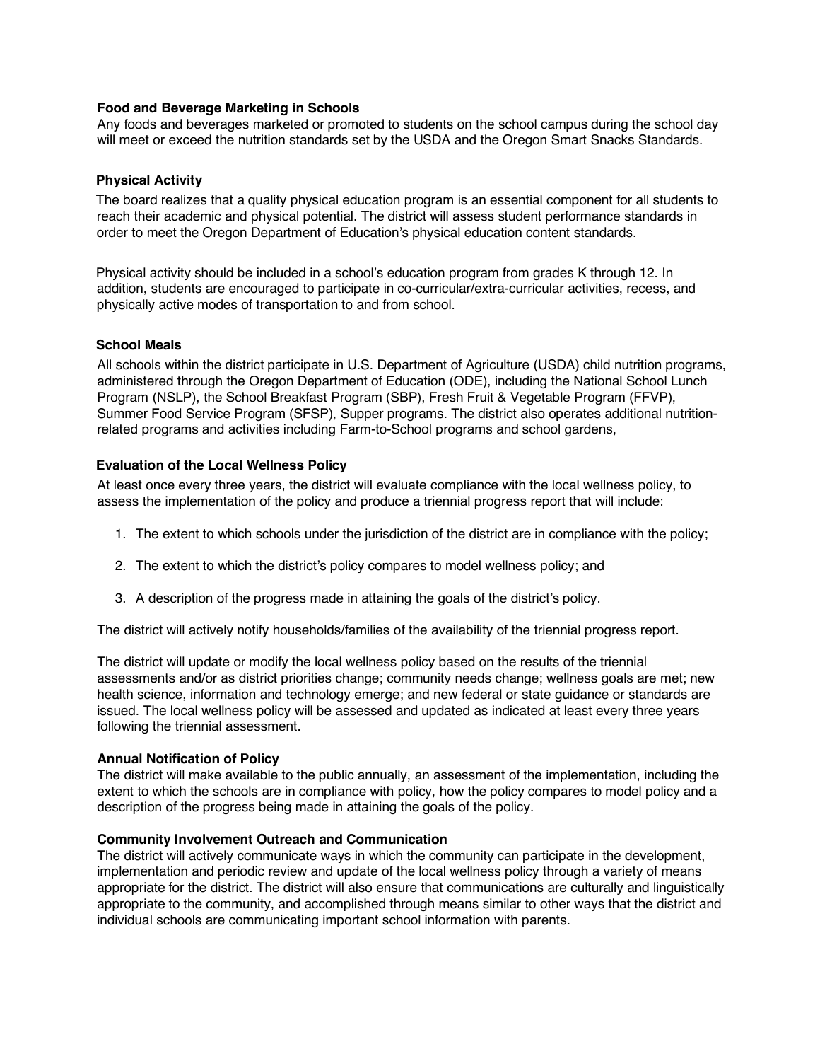# **Food and Beverage Marketing in Schools**

Any foods and beverages marketed or promoted to students on the school campus during the school day will meet or exceed the nutrition standards set by the USDA and the Oregon Smart Snacks Standards.

## **Physical Activity**

The board realizes that a quality physical education program is an essential component for all students to reach their academic and physical potential. The district will assess student performance standards in order to meet the Oregon Department of Education's physical education content standards.

Physical activity should be included in a school's education program from grades K through 12. In addition, students are encouraged to participate in co-curricular/extra-curricular activities, recess, and physically active modes of transportation to and from school.

# **School Meals**

All schools within the district participate in U.S. Department of Agriculture (USDA) child nutrition programs, administered through the Oregon Department of Education (ODE), including the National School Lunch Program (NSLP), the School Breakfast Program (SBP), Fresh Fruit & Vegetable Program (FFVP), Summer Food Service Program (SFSP), Supper programs. The district also operates additional nutritionrelated programs and activities including Farm-to-School programs and school gardens,

# **Evaluation of the Local Wellness Policy**

At least once every three years, the district will evaluate compliance with the local wellness policy, to assess the implementation of the policy and produce a triennial progress report that will include:

- 1. The extent to which schools under the jurisdiction of the district are in compliance with the policy;
- 2. The extent to which the district's policy compares to model wellness policy; and
- 3. A description of the progress made in attaining the goals of the district's policy.

The district will actively notify households/families of the availability of the triennial progress report.

The district will update or modify the local wellness policy based on the results of the triennial assessments and/or as district priorities change; community needs change; wellness goals are met; new health science, information and technology emerge; and new federal or state guidance or standards are issued. The local wellness policy will be assessed and updated as indicated at least every three years following the triennial assessment.

## **Annual Notification of Policy**

The district will make available to the public annually, an assessment of the implementation, including the extent to which the schools are in compliance with policy, how the policy compares to model policy and a description of the progress being made in attaining the goals of the policy.

## **Community Involvement Outreach and Communication**

The district will actively communicate ways in which the community can participate in the development, implementation and periodic review and update of the local wellness policy through a variety of means appropriate for the district. The district will also ensure that communications are culturally and linguistically appropriate to the community, and accomplished through means similar to other ways that the district and individual schools are communicating important school information with parents.